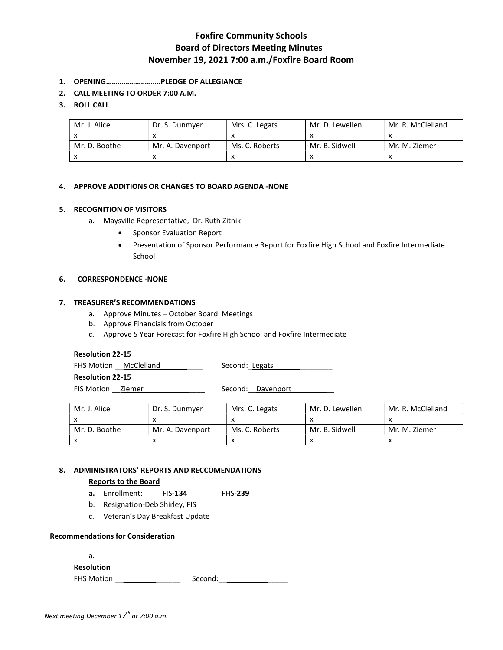# Foxfire Community Schools Board of Directors Meeting Minutes November 19, 2021 7:00 a.m./Foxfire Board Room

- 1. OPENING……………………….PLEDGE OF ALLEGIANCE
- 2. CALL MEETING TO ORDER 7:00 A.M.

# 3. ROLL CALL

| Mr. J. Alice  | Dr. S. Dunmver   | Mrs. C. Legats | Mr. D. Lewellen | Mr. R. McClelland |
|---------------|------------------|----------------|-----------------|-------------------|
|               |                  |                |                 |                   |
| Mr. D. Boothe | Mr. A. Davenport | Ms. C. Roberts | Mr. B. Sidwell  | Mr. M. Ziemer     |
|               |                  |                |                 |                   |

# 4. APPROVE ADDITIONS OR CHANGES TO BOARD AGENDA -NONE

# 5. RECOGNITION OF VISITORS

- a. Maysville Representative, Dr. Ruth Zitnik
	- Sponsor Evaluation Report
	- Presentation of Sponsor Performance Report for Foxfire High School and Foxfire Intermediate School

### 6. CORRESPONDENCE -NONE

# 7. TREASURER'S RECOMMENDATIONS

- a. Approve Minutes October Board Meetings
- b. Approve Financials from October
- c. Approve 5 Year Forecast for Foxfire High School and Foxfire Intermediate

## Resolution 22-15

FHS Motion: McClelland \_\_\_\_\_\_\_\_\_\_ Second: Legats \_\_\_\_\_\_\_\_\_\_\_\_\_\_\_\_\_\_\_\_\_\_\_\_\_\_\_\_\_\_\_

Resolution 22-15

FIS Motion: Ziemer \_\_\_\_\_\_\_\_\_\_\_\_\_\_\_\_\_\_\_ Second: Davenport

| Mr. J. Alice  | Dr. S. Dunmver   | Mrs. C. Legats | Mr. D. Lewellen | Mr. R. McClelland |
|---------------|------------------|----------------|-----------------|-------------------|
|               |                  |                |                 |                   |
| Mr. D. Boothe | Mr. A. Davenport | Ms. C. Roberts | Mr. B. Sidwell  | Mr. M. Ziemer     |
|               |                  |                |                 |                   |

# 8. ADMINISTRATORS' REPORTS AND RECCOMENDATIONS

#### Reports to the Board

- a. Enrollment: FIS-134 FHS-239
- b. Resignation-Deb Shirley, FIS
- c. Veteran's Day Breakfast Update

### Recommendations for Consideration

a.

Resolution

FHS Motion:\_\_\_\_\_\_\_\_\_\_\_\_\_\_\_\_ Second:\_\_\_\_\_\_\_\_\_\_\_\_\_\_\_\_\_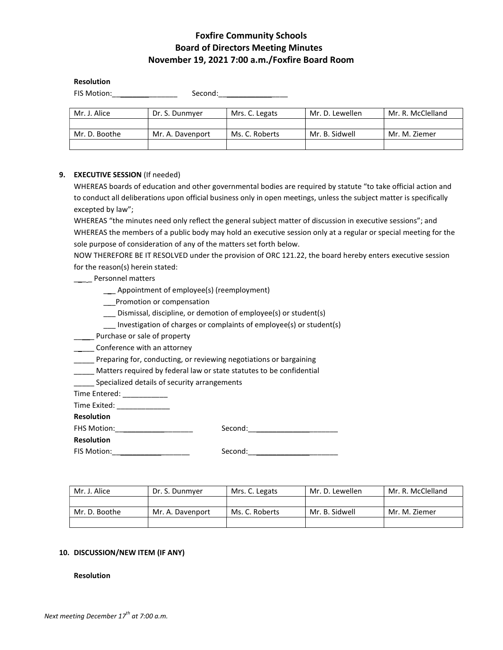# Foxfire Community Schools Board of Directors Meeting Minutes November 19, 2021 7:00 a.m./Foxfire Board Room

#### Resolution

FIS Motion:\_\_\_\_\_\_\_\_\_\_\_\_\_\_\_\_ Second:\_\_\_\_\_\_\_\_\_\_\_\_\_\_\_\_\_

| Mr. J. Alice  | Dr. S. Dunmyer   | Mrs. C. Legats | Mr. D. Lewellen | Mr. R. McClelland |
|---------------|------------------|----------------|-----------------|-------------------|
|               |                  |                |                 |                   |
| Mr. D. Boothe | Mr. A. Davenport | Ms. C. Roberts | Mr. B. Sidwell  | Mr. M. Ziemer     |
|               |                  |                |                 |                   |

### 9. EXECUTIVE SESSION (If needed)

WHEREAS boards of education and other governmental bodies are required by statute "to take official action and to conduct all deliberations upon official business only in open meetings, unless the subject matter is specifically excepted by law";

WHEREAS "the minutes need only reflect the general subject matter of discussion in executive sessions"; and WHEREAS the members of a public body may hold an executive session only at a regular or special meeting for the sole purpose of consideration of any of the matters set forth below.

NOW THEREFORE BE IT RESOLVED under the provision of ORC 121.22, the board hereby enters executive session for the reason(s) herein stated:

#### \_\_ \_ Personnel matters

- \_\_\_ Appointment of employee(s) (reemployment)
- \_\_\_Promotion or compensation
- \_\_\_ Dismissal, discipline, or demotion of employee(s) or student(s)
- \_\_\_ Investigation of charges or complaints of employee(s) or student(s)
- \_\_\_\_\_ Purchase or sale of property
- **\_\_\_\_\_** Conference with an attorney
- \_\_\_\_\_ Preparing for, conducting, or reviewing negotiations or bargaining
- \_\_\_\_\_ Matters required by federal law or state statutes to be confidential
- Specialized details of security arrangements

Time Entered: \_\_\_\_\_\_\_\_\_\_\_

Time Exited: \_\_\_\_\_\_\_\_\_\_\_\_\_

Resolution

FHS Motion:\_\_\_\_\_\_\_\_\_\_\_\_\_\_\_\_\_\_\_ Second:\_\_\_\_\_\_\_\_\_\_\_\_\_\_\_\_\_\_\_\_\_\_

Resolution

FIS Motion:\_\_\_\_\_\_\_\_\_\_\_\_\_\_\_\_\_\_\_ Second:\_\_\_\_\_\_\_\_\_\_\_\_\_\_\_\_\_\_\_\_\_\_

| Mr. J. Alice  | Dr. S. Dunmyer   | Mrs. C. Legats | Mr. D. Lewellen | Mr. R. McClelland |
|---------------|------------------|----------------|-----------------|-------------------|
|               |                  |                |                 |                   |
| Mr. D. Boothe | Mr. A. Davenport | Ms. C. Roberts | Mr. B. Sidwell  | Mr. M. Ziemer     |
|               |                  |                |                 |                   |

#### 10. DISCUSSION/NEW ITEM (IF ANY)

#### Resolution